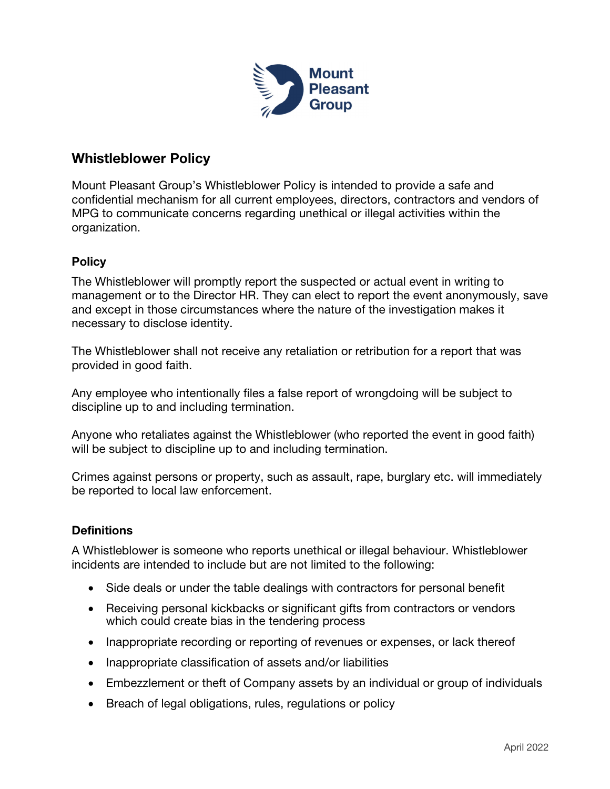

# Whistleblower Policy

Mount Pleasant Group's Whistleblower Policy is intended to provide a safe and confidential mechanism for all current employees, directors, contractors and vendors of MPG to communicate concerns regarding unethical or illegal activities within the organization.

## **Policy**

The Whistleblower will promptly report the suspected or actual event in writing to management or to the Director HR. They can elect to report the event anonymously, save and except in those circumstances where the nature of the investigation makes it necessary to disclose identity.

The Whistleblower shall not receive any retaliation or retribution for a report that was provided in good faith.

Any employee who intentionally files a false report of wrongdoing will be subject to discipline up to and including termination.

Anyone who retaliates against the Whistleblower (who reported the event in good faith) will be subject to discipline up to and including termination.

Crimes against persons or property, such as assault, rape, burglary etc. will immediately be reported to local law enforcement.

## **Definitions**

A Whistleblower is someone who reports unethical or illegal behaviour. Whistleblower incidents are intended to include but are not limited to the following:

- Side deals or under the table dealings with contractors for personal benefit
- Receiving personal kickbacks or significant gifts from contractors or vendors which could create bias in the tendering process
- Inappropriate recording or reporting of revenues or expenses, or lack thereof
- Inappropriate classification of assets and/or liabilities
- Embezzlement or theft of Company assets by an individual or group of individuals
- Breach of legal obligations, rules, regulations or policy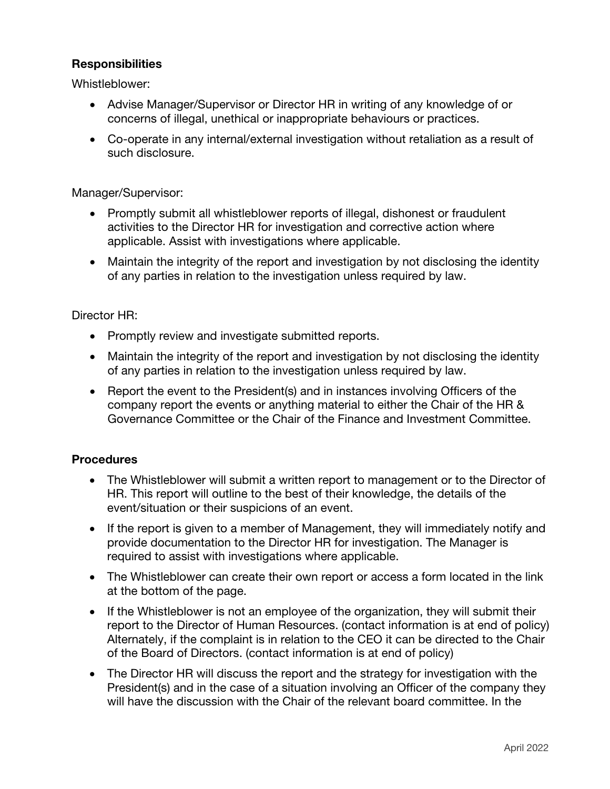### **Responsibilities**

Whistleblower:

- Advise Manager/Supervisor or Director HR in writing of any knowledge of or concerns of illegal, unethical or inappropriate behaviours or practices.
- Co-operate in any internal/external investigation without retaliation as a result of such disclosure.

Manager/Supervisor:

- Promptly submit all whistleblower reports of illegal, dishonest or fraudulent activities to the Director HR for investigation and corrective action where applicable. Assist with investigations where applicable.
- Maintain the integrity of the report and investigation by not disclosing the identity of any parties in relation to the investigation unless required by law.

#### Director HR:

- Promptly review and investigate submitted reports.
- Maintain the integrity of the report and investigation by not disclosing the identity of any parties in relation to the investigation unless required by law.
- Report the event to the President(s) and in instances involving Officers of the company report the events or anything material to either the Chair of the HR & Governance Committee or the Chair of the Finance and Investment Committee.

#### **Procedures**

- The Whistleblower will submit a written report to management or to the Director of HR. This report will outline to the best of their knowledge, the details of the event/situation or their suspicions of an event.
- If the report is given to a member of Management, they will immediately notify and provide documentation to the Director HR for investigation. The Manager is required to assist with investigations where applicable.
- The Whistleblower can create their own report or access a form located in the link at the bottom of the page.
- If the Whistleblower is not an employee of the organization, they will submit their report to the Director of Human Resources. (contact information is at end of policy) Alternately, if the complaint is in relation to the CEO it can be directed to the Chair of the Board of Directors. (contact information is at end of policy)
- The Director HR will discuss the report and the strategy for investigation with the President(s) and in the case of a situation involving an Officer of the company they will have the discussion with the Chair of the relevant board committee. In the